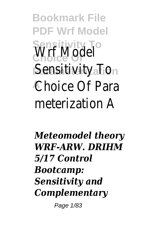**Bookmark File PDF Wrf Model Sensitivity To Choice Of** Wrf Model **Parameterization** Sensitivity To **A** Choice Of Para meterization A

*Meteomodel theory WRF‐ARW. DRIHM 5/17 Control Bootcamp: Sensitivity and Complementary*

Page 1/83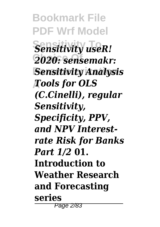**Bookmark File PDF Wrf Model**  $Sensitivity$  *useR!* **Choice Of** *2020: sensemakr:* **Parameterization** *Sensitivity Analysis* **A** *Tools for OLS (C.Cinelli), regular Sensitivity, Specificity, PPV, and NPV Interestrate Risk for Banks Part 1/2* **01. Introduction to Weather Research and Forecasting series**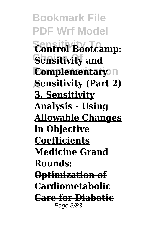**Bookmark File PDF Wrf Model Sensitivity To Control Bootcamp: Sensitivity and Complementary**<sub>n</sub> **A Sensitivity (Part 2) 3. Sensitivity Analysis - Using Allowable Changes in Objective Coefficients Medicine Grand Rounds: Optimization of Cardiometabolic Care for Diabetic** Page 3/83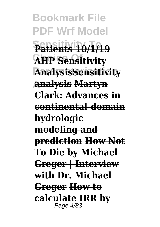**Bookmark File PDF Wrf Model Sensitivity To Patients 10/1/19 AHP Sensitivity Parameterization AnalysisSensitivity A analysis Martyn Clark: Advances in continental-domain hydrologic modeling and prediction How Not To Die by Michael Greger | Interview with Dr. Michael Greger How to calculate IRR by** Page 4/83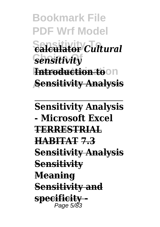**Bookmark File PDF Wrf Model**  $\overline{\text{ealeulator}}$ *Cultural* **Choice Of** *sensitivity* **Introduction to**On **A Sensitivity Analysis**

**Sensitivity Analysis - Microsoft Excel TERRESTRIAL HABITAT 7.3 Sensitivity Analysis Sensitivity Meaning Sensitivity and specificity -** Page 5/83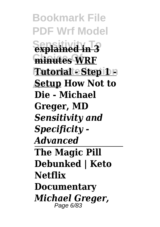**Bookmark File PDF Wrf Model Sensitivity To explained in 3 Choice Of minutes WRF Tutorial - Step 1 -A Setup How Not to Die - Michael Greger, MD**  *Sensitivity and Specificity - Advanced* **The Magic Pill Debunked | Keto Netflix Documentary** *Michael Greger,* Page 6/83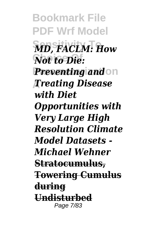**Bookmark File PDF Wrf Model Sensitivity To** *MD, FACLM: How* **Not to Die: Preventing and** on **A** *Treating Disease with Diet Opportunities with Very Large High Resolution Climate Model Datasets - Michael Wehner* **Stratocumulus, Towering Cumulus during Undisturbed** Page 7/83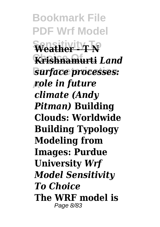**Bookmark File PDF Wrf Model**  $\sqrt{\text{Weather}}$ **Choice Of Krishnamurti** *Land* **Parameterization** *surface processes:* **A** *role in future climate (Andy Pitman)* **Building Clouds: Worldwide Building Typology Modeling from Images: Purdue University** *Wrf Model Sensitivity To Choice* **The WRF model is** Page 8/83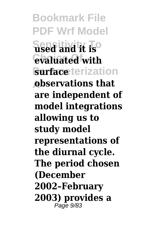**Bookmark File PDF Wrf Model Sensitivity To used and it is Choice Of evaluated with Surface** terization **A observations that are independent of model integrations allowing us to study model representations of the diurnal cycle. The period chosen (December 2002–February 2003) provides a** Page 9/83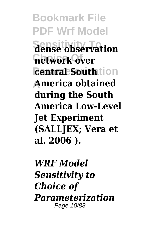**Bookmark File PDF Wrf Model Sensitivity To dense observation network over** *<u>central</u>* Southtion **A America obtained during the South America Low-Level Jet Experiment (SALLJEX; Vera et al. 2006 ).**

*WRF Model Sensitivity to Choice of Parameterization* Page 10/83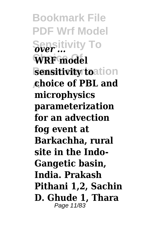**Bookmark File PDF Wrf Model Sensitivity To** *over ...* WRF model **sensitivity toation A choice of PBL and microphysics parameterization for an advection fog event at Barkachha, rural site in the Indo-Gangetic basin, India. Prakash Pithani 1,2, Sachin D. Ghude 1, Thara** Page 11/83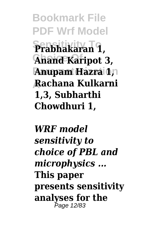**Bookmark File PDF Wrf Model Sensitivity To Prabhakaran 1, Choice Of Anand Karipot 3, Anupam Hazra 1,1 A Rachana Kulkarni 1,3, Subharthi Chowdhuri 1,**

*WRF model sensitivity to choice of PBL and microphysics ...* **This paper presents sensitivity analyses for the** Page 12/83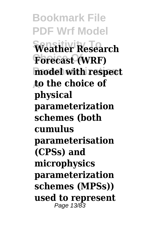**Bookmark File PDF Wrf Model Sensitivity To Weather Research**  $F$ orecast (WRF) **model with respect A to the choice of physical parameterization schemes (both cumulus parameterisation (CPSs) and microphysics parameterization schemes (MPSs)) used to represent** Page 13/83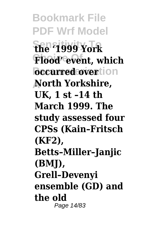**Bookmark File PDF Wrf Model Sensitivity To the '1999 York** Flood<sup>'</sup> event, which **bccurred overtion A North Yorkshire, UK, 1 st –14 th March 1999. The study assessed four CPSs (Kain–Fritsch (KF2), Betts–Miller–Janjic (BMJ), Grell–Devenyi ensemble (GD) and the old** Page 14/83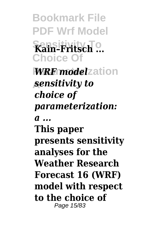**Bookmark File PDF Wrf Model Sensitivity To Kain–Fritsch ... Choice Of WRF** model zation **A** *sensitivity to choice of parameterization: a ...* **This paper presents sensitivity analyses for the Weather Research Forecast 16 (WRF) model with respect to the choice of** Page 15/83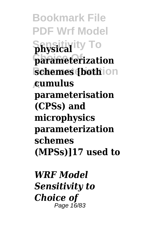**Bookmark File PDF Wrf Model Sensitivity To physical Choice Of parameterization schemes [both**ion **A cumulus parameterisation (CPSs) and microphysics parameterization schemes (MPSs)]17 used to**

*WRF Model Sensitivity to Choice of* Page 16/83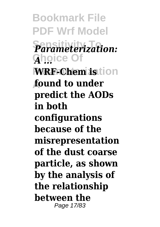**Bookmark File PDF Wrf Model**  $P$ arameterization: **Ghoice Of WRF-Chem istion A found to under predict the AODs in both configurations because of the misrepresentation of the dust coarse particle, as shown by the analysis of the relationship between the** Page 17/83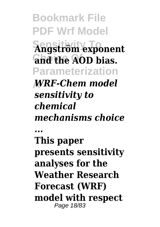**Bookmark File PDF Wrf Model Sensitivity To Angström exponent Choice Of and the AOD bias. Parameterization A** *WRF-Chem model sensitivity to chemical mechanisms choice ...* **This paper presents sensitivity analyses for the Weather Research Forecast (WRF) model with respect** Page 18/83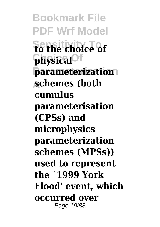**Bookmark File PDF Wrf Model Sensitivity To to the choice of Choice Of physical Parameterization parameterization A schemes (both cumulus parameterisation (CPSs) and microphysics parameterization schemes (MPSs)) used to represent the `1999 York Flood' event, which occurred over** Page 19/83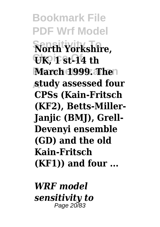**Bookmark File PDF Wrf Model Sensitivity To North Yorkshire, Choice Of UK, 1 st-14 th March 1999. Then A study assessed four CPSs (Kain-Fritsch (KF2), Betts-Miller-Janjic (BMJ), Grell-Devenyi ensemble (GD) and the old Kain-Fritsch (KF1)) and four ...**

*WRF model sensitivity to* Page 20/83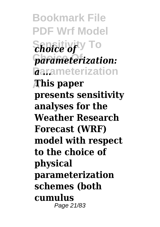**Bookmark File PDF Wrf Model Sensitivity To** *choice of*  $\epsilon$ *parameterization: <u>Rarameterization</u>* **A This paper presents sensitivity analyses for the Weather Research Forecast (WRF) model with respect to the choice of physical parameterization schemes (both cumulus** Page 21/83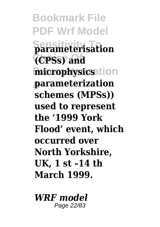**Bookmark File PDF Wrf Model Sensitivity To parameterisation Choice Of (CPSs) and microphysics**ation **A parameterization schemes (MPSs)) used to represent the '1999 York Flood' event, which occurred over North Yorkshire, UK, 1 st –14 th March 1999.**

*WRF model* Page 22/83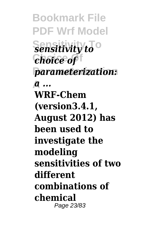**Bookmark File PDF Wrf Model**  $\overline{\text{Sensitivity}}$ <sup>o</sup> **Choice Of** *choice of* **Parameterization** *parameterization:* **A** *a ...* **WRF-Chem (version3.4.1, August 2012) has been used to investigate the modeling sensitivities of two different combinations of chemical** Page 23/83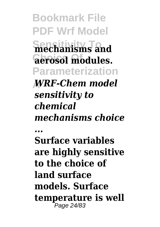**Bookmark File PDF Wrf Model Sensitivity To mechanisms and Choice Of aerosol modules. Parameterization A** *WRF-Chem model sensitivity to chemical mechanisms choice ...* **Surface variables are highly sensitive to the choice of land surface models. Surface temperature is well** Page 24/83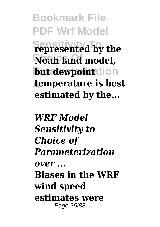**Bookmark File PDF Wrf Model Sensitivity To represented by the Choice Of Noah land model, but dewpointation A temperature is best estimated by the...**

*WRF Model Sensitivity to Choice of Parameterization over ...* **Biases in the WRF wind speed estimates were** Page 25/83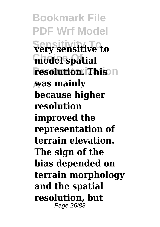**Bookmark File PDF Wrf Model**  $S$ ery sensitive to **Choice Of model spatial resolution. This A was mainly because higher resolution improved the representation of terrain elevation. The sign of the bias depended on terrain morphology and the spatial resolution, but** Page 26/83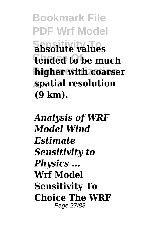**Bookmark File PDF Wrf Model Sensitivity To absolute values Choice Of tended to be much higher with coarser A spatial resolution (9 km).**

*Analysis of WRF Model Wind Estimate Sensitivity to Physics ...* **Wrf Model Sensitivity To Choice The WRF** Page 27/83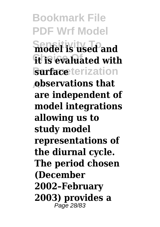**Bookmark File PDF Wrf Model Sensitivity To model is used and it is evaluated with Surface** terization **A observations that are independent of model integrations allowing us to study model representations of the diurnal cycle. The period chosen (December 2002–February 2003) provides a** Page 28/83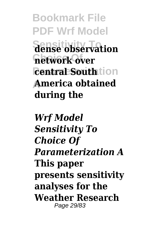**Bookmark File PDF Wrf Model Sensitivity To dense observation network over** *<u>central</u>* Southtion **A America obtained during the**

*Wrf Model Sensitivity To Choice Of Parameterization A* **This paper presents sensitivity analyses for the Weather Research** Page 29/83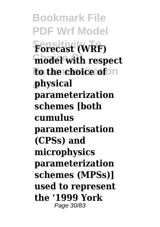**Bookmark File PDF Wrf Model Sensitivity To Forecast (WRF) model with respect to the choice of**  $\circ$ n **A physical parameterization schemes [both cumulus parameterisation (CPSs) and microphysics parameterization schemes (MPSs)] used to represent the '1999 York** Page 30/83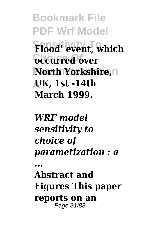**Bookmark File PDF Wrf Model Sensitivity To Flood' event, which Choice Of occurred over North Yorkshire, n A UK, 1st -14th March 1999.**

*WRF model sensitivity to choice of parametization : a*

*...*

**Abstract and Figures This paper reports on an** Page 31/83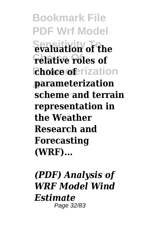**Bookmark File PDF Wrf Model**  $\frac{1}{2}$  waluation of the **relative roles of** *<u>choice</u>* oferization **A parameterization scheme and terrain representation in the Weather Research and Forecasting (WRF)...**

*(PDF) Analysis of WRF Model Wind Estimate* Page 32/83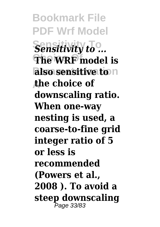**Bookmark File PDF Wrf Model Sensitivity to ... The WRF** model is  $\alpha$  **also sensitive to** $\alpha$ **A the choice of downscaling ratio. When one‐way nesting is used, a coarse‐to‐fine grid integer ratio of 5 or less is recommended (Powers et al., 2008 ). To avoid a steep downscaling** Page 33/83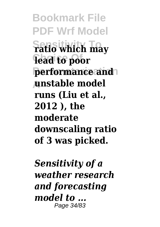**Bookmark File PDF Wrf Model Sensitivity To ratio which may** lead to poor **performance and A unstable model runs (Liu et al., 2012 ), the moderate downscaling ratio of 3 was picked.**

*Sensitivity of a weather research and forecasting model to ...* Page 34/83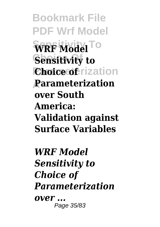**Bookmark File PDF Wrf Model**  $\widehat{\textbf{WRF}}$  Model<sup>To</sup> **Sensitivity to Choice of Prization A Parameterization over South America: Validation against Surface Variables**

*WRF Model Sensitivity to Choice of Parameterization over ...* Page 35/83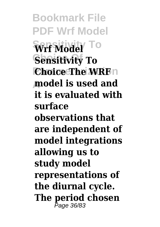**Bookmark File PDF Wrf Model** Wrf Model<sup> To</sup> **Sensitivity To Choice The WRF**n **A model is used and it is evaluated with surface observations that are independent of model integrations allowing us to study model representations of the diurnal cycle. The period chosen** Page 36/83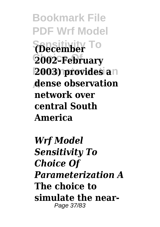**Bookmark File PDF Wrf Model Sensitivity To (December Choice Of 2002–February 2003) provides an A dense observation network over central South America**

*Wrf Model Sensitivity To Choice Of Parameterization A* **The choice to simulate the near-**Page 37/83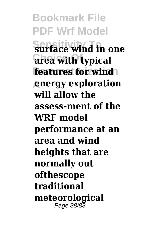**Bookmark File PDF Wrf Model Sensitivity To surface wind in one Choice Of area with typical features for wind A energy exploration will allow the assess-ment of the WRF model performance at an area and wind heights that are normally out ofthescope traditional meteorological** Page 38/83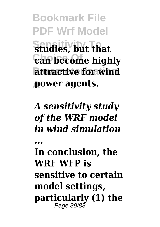**Bookmark File PDF Wrf Model Sensitivity To studies, but that**  $\overline{\text{can}}$  become highly **attractive for wind A power agents.**

*A sensitivity study of the WRF model in wind simulation*

*...*

**In conclusion, the WRF WFP is sensitive to certain model settings, particularly (1) the** Page 39/83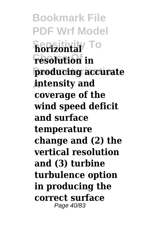**Bookmark File PDF Wrf Model Sensitivity To horizontal resolution** in **Parameterization producing accurate A intensity and coverage of the wind speed deficit and surface temperature change and (2) the vertical resolution and (3) turbine turbulence option in producing the correct surface** Page 40/83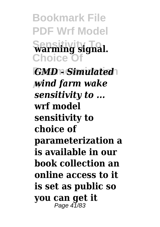**Bookmark File PDF Wrf Model Sensitivity To warming signal.** Choice O  $GMD$  - Simulated **A** *wind farm wake sensitivity to ...* **wrf model sensitivity to choice of parameterization a is available in our book collection an online access to it is set as public so you can get it**

Page 41/83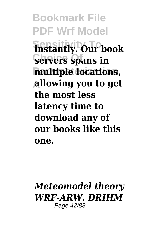**Bookmark File PDF Wrf Model Sensitivity To instantly. Our book Servers** spans in **Parameterization multiple locations, A allowing you to get the most less latency time to download any of our books like this one.**

## *Meteomodel theory WRF‐ARW. DRIHM* Page 42/83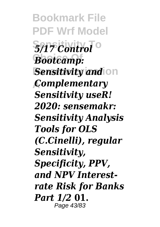**Bookmark File PDF Wrf Model**  $5/17$  *Control*<sup>o</sup> **Choice Of** *Bootcamp:* **Sensitivity and on A** *Complementary Sensitivity useR! 2020: sensemakr: Sensitivity Analysis Tools for OLS (C.Cinelli), regular Sensitivity, Specificity, PPV, and NPV Interestrate Risk for Banks Part 1/2* **01.** Page 43/83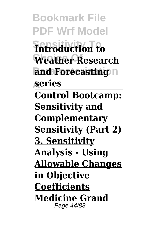**Bookmark File PDF Wrf Model Sensitivity To Introduction to** Weather Research and **Forecasting**<sup>n</sup> **A series Control Bootcamp: Sensitivity and Complementary Sensitivity (Part 2) 3. Sensitivity Analysis - Using Allowable Changes in Objective Coefficients Medicine Grand** Page 44/83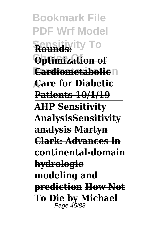**Bookmark File PDF Wrf Model Sensitivity To Rounds: Optimization of Cardiometabolic**n **A Care for Diabetic Patients 10/1/19 AHP Sensitivity AnalysisSensitivity analysis Martyn Clark: Advances in continental-domain hydrologic modeling and prediction How Not To Die by Michael** Page 45/83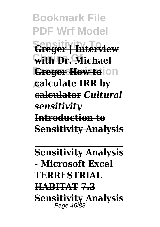**Bookmark File PDF Wrf Model Sensitivity To Greger | Interview Choice Of with Dr. Michael Greger How to** Ion **A calculate IRR by calculator** *Cultural sensitivity* **Introduction to Sensitivity Analysis**

**Sensitivity Analysis - Microsoft Excel TERRESTRIAL HABITAT 7.3 Sensitivity Analysis** Page 46/83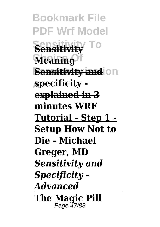**Bookmark File PDF Wrf Model Sensitivity To Sensitivity Meaning Sensitivity and on A specificity explained in 3 minutes WRF Tutorial - Step 1 - Setup How Not to Die - Michael Greger, MD**  *Sensitivity and Specificity - Advanced* **The Magic Pill** Page 47/83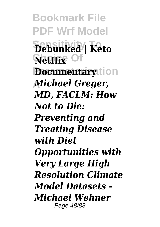**Bookmark File PDF Wrf Model Sensitivity To Debunked | Keto Netflix** Of *<u>Documentarytion</u>* **A** *Michael Greger, MD, FACLM: How Not to Die: Preventing and Treating Disease with Diet Opportunities with Very Large High Resolution Climate Model Datasets - Michael Wehner* Page 48/83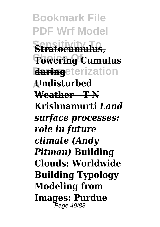**Bookmark File PDF Wrf Model Sensitivity To Stratocumulus, Towering Cumulus during**eterization **A Undisturbed Weather - T N Krishnamurti** *Land surface processes: role in future climate (Andy Pitman)* **Building Clouds: Worldwide Building Typology Modeling from Images: Purdue** Page 49/83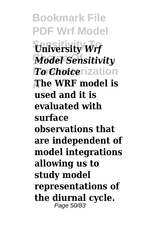**Bookmark File PDF Wrf Model**  $\overline{\text{University}}$ *Wrf* **Model Sensitivity** *To Choice* rization **A The WRF model is used and it is evaluated with surface observations that are independent of model integrations allowing us to study model representations of the diurnal cycle.** Page 50/83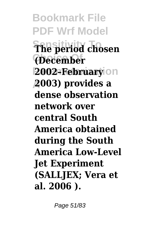**Bookmark File PDF Wrf Model Sensitivity To The period chosen Choice Of (December Parameterization 2002–February A 2003) provides a dense observation network over central South America obtained during the South America Low-Level Jet Experiment (SALLJEX; Vera et al. 2006 ).**

Page 51/83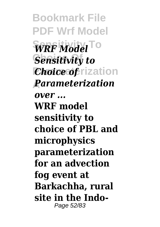**Bookmark File PDF Wrf Model**  $\widehat{\text{WRF}}$  Model<sup>To</sup> **Sensitivity to** *Choice* of **Fixation A** *Parameterization over ...* **WRF model sensitivity to choice of PBL and microphysics parameterization for an advection fog event at Barkachha, rural site in the Indo-**Page 52/83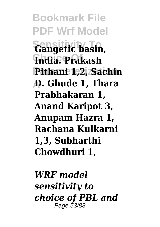**Bookmark File PDF Wrf Model Sensitivity To Gangetic basin, Choice Of India. Prakash Parameterization Pithani 1,2, Sachin A D. Ghude 1, Thara Prabhakaran 1, Anand Karipot 3, Anupam Hazra 1, Rachana Kulkarni 1,3, Subharthi Chowdhuri 1,**

*WRF model sensitivity to choice of PBL and* Page 53/83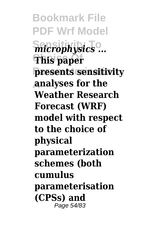**Bookmark File PDF Wrf Model**  $\overline{\text{microphysics}}$ ... **Choice Of This paper Parameterization presents sensitivity A analyses for the Weather Research Forecast (WRF) model with respect to the choice of physical parameterization schemes (both cumulus parameterisation (CPSs) and** Page 54/83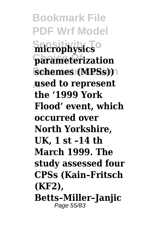**Bookmark File PDF Wrf Model Sensitivity To microphysics Choice Of parameterization schemes (MPSs)**) **A used to represent the '1999 York Flood' event, which occurred over North Yorkshire, UK, 1 st –14 th March 1999. The study assessed four CPSs (Kain–Fritsch (KF2), Betts–Miller–Janjic** Page 55/83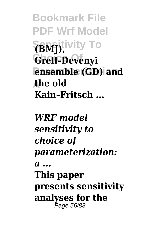**Bookmark File PDF Wrf Model Sensitivity To (BMJ), Choice Of Grell–Devenyi ensemble (GD)** and **A the old Kain–Fritsch ...**

*WRF model sensitivity to choice of parameterization: a ...* **This paper presents sensitivity analyses for the** Page 56/83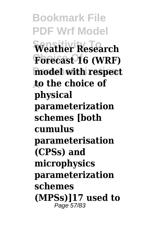**Bookmark File PDF Wrf Model Sensitivity To Weather Research** Forecast 16 (WRF) **model with respect A to the choice of physical parameterization schemes [both cumulus parameterisation (CPSs) and microphysics parameterization schemes (MPSs)]17 used to** Page 57/83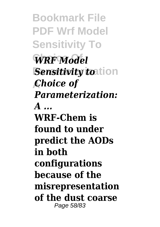**Bookmark File PDF Wrf Model Sensitivity To**  $WRF$ *Model Sensitivity toation* **A** *Choice of Parameterization: A ...* **WRF-Chem is found to under predict the AODs in both configurations because of the misrepresentation of the dust coarse** Page 58/83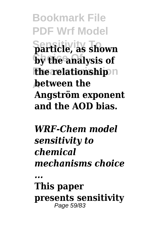**Bookmark File PDF Wrf Model Sensitivity To particle, as shown by the analysis of the relationship**<sup>n</sup> **A between the Angström exponent and the AOD bias.**

## *WRF-Chem model sensitivity to chemical mechanisms choice*

*...*

**This paper presents sensitivity** Page 59/83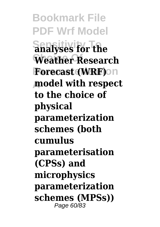**Bookmark File PDF Wrf Model Sensitivity To analyses for the** Weather Research **Forecast (WRF)**on **A model with respect to the choice of physical parameterization schemes (both cumulus parameterisation (CPSs) and microphysics parameterization schemes (MPSs))** Page 60/83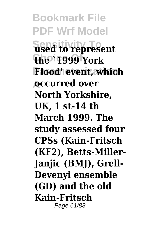**Bookmark File PDF Wrf Model Sensitivity To used to represent Choice Of the `1999 York Parameterization Flood' event, which A occurred over North Yorkshire, UK, 1 st-14 th March 1999. The study assessed four CPSs (Kain-Fritsch (KF2), Betts-Miller-Janjic (BMJ), Grell-Devenyi ensemble (GD) and the old Kain-Fritsch** Page 61/83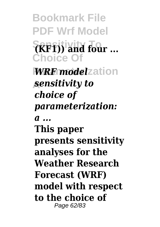**Bookmark File PDF Wrf Model Sensitivity To (KF1)) and four ... Choice Of WRF** model zation **A** *sensitivity to choice of parameterization: a ...* **This paper presents sensitivity analyses for the Weather Research Forecast (WRF) model with respect to the choice of** Page 62/83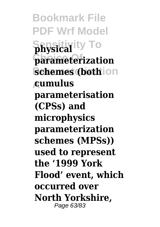**Bookmark File PDF Wrf Model Sensitivity To physical Choice Of parameterization schemes (bothion A cumulus parameterisation (CPSs) and microphysics parameterization schemes (MPSs)) used to represent the '1999 York Flood' event, which occurred over North Yorkshire,** Page 63/83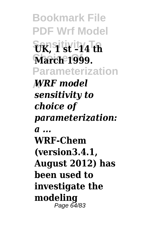**Bookmark File PDF Wrf Model**  $\frac{1}{2}$ **EK, 9 st st –14 th March 1999. Parameterization A** *WRF model sensitivity to choice of parameterization: a ...* **WRF-Chem (version3.4.1, August 2012) has been used to investigate the modeling** Page 64/83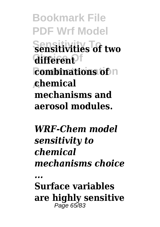**Bookmark File PDF Wrf Model Sensitivity To sensitivities of two**  $differenF$ **combinations of** n **A chemical mechanisms and aerosol modules.**

*WRF-Chem model sensitivity to chemical mechanisms choice*

*...*

**Surface variables are highly sensitive** Page 65/83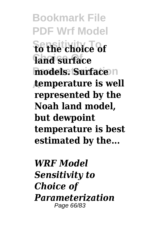**Bookmark File PDF Wrf Model Sensitivity To to the choice of Choice Of land surface models. Surface**<sup>n</sup> **A temperature is well represented by the Noah land model, but dewpoint temperature is best estimated by the...**

*WRF Model Sensitivity to Choice of Parameterization* Page 66/83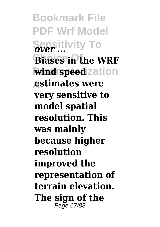**Bookmark File PDF Wrf Model Sensitivity To** *over ...* **Biases in the WRF wind speed** zation **A estimates were very sensitive to model spatial resolution. This was mainly because higher resolution improved the representation of terrain elevation. The sign of the** Page 67/83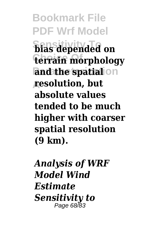**Bookmark File PDF Wrf Model Sensitivity To bias depended on terrain morphology and the spatial** on **A resolution, but absolute values tended to be much higher with coarser spatial resolution (9 km).**

*Analysis of WRF Model Wind Estimate Sensitivity to* Page 68/83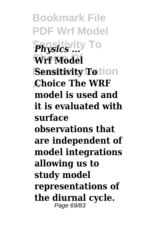**Bookmark File PDF Wrf Model Sensitivity To** *Physics ...* Wrf Model **Sensitivity Totion A Choice The WRF model is used and it is evaluated with surface observations that are independent of model integrations allowing us to study model representations of the diurnal cycle.** Page 69/83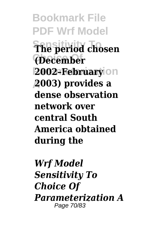**Bookmark File PDF Wrf Model Sensitivity To The period chosen Choice Of (December Parameterization 2002–February A 2003) provides a dense observation network over central South America obtained during the**

*Wrf Model Sensitivity To Choice Of Parameterization A* Page 70/83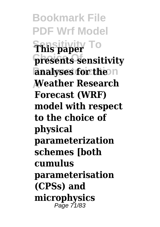**Bookmark File PDF Wrf Model Sensitivity To This paper** presents sensitivity **analyses for the n A Weather Research Forecast (WRF) model with respect to the choice of physical parameterization schemes [both cumulus parameterisation (CPSs) and microphysics** Page 71/83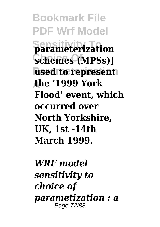**Bookmark File PDF Wrf Model Sensitivity To parameterization**  $Schemes(MPSs)$ ] **used to represent A the '1999 York Flood' event, which occurred over North Yorkshire, UK, 1st -14th March 1999.**

*WRF model sensitivity to choice of parametization : a* Page 72/83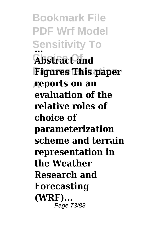**Bookmark File PDF Wrf Model Sensitivity To** *...* **Abstract and Figures This paper A reports on an evaluation of the relative roles of choice of parameterization scheme and terrain representation in the Weather Research and Forecasting (WRF)...** Page 73/83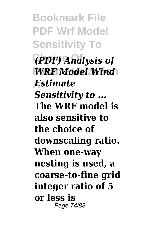**Bookmark File PDF Wrf Model Sensitivity To Choice Of** *(PDF) Analysis of* **WRF Model Wind A** *Estimate Sensitivity to ...* **The WRF model is also sensitive to the choice of downscaling ratio. When one‐way nesting is used, a coarse‐to‐fine grid integer ratio of 5 or less is** Page 74/83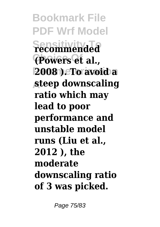**Bookmark File PDF Wrf Model Sensitivity To recommended Choice Of (Powers et al., Parameterization 2008 ). To avoid a A steep downscaling ratio which may lead to poor performance and unstable model runs (Liu et al., 2012 ), the moderate downscaling ratio of 3 was picked.**

Page 75/83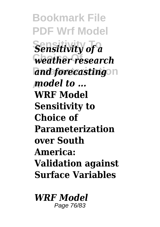**Bookmark File PDF Wrf Model Sensitivity of a Choice Of** *weather research* and forecasting<sup>on</sup> **A** *model to ...* **WRF Model Sensitivity to Choice of Parameterization over South America: Validation against Surface Variables**

*WRF Model* Page 76/83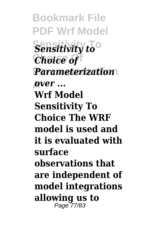**Bookmark File PDF Wrf Model Sensitivity to**<sup>o</sup> **Choice Of** *Choice of* **Parameterization** *Parameterization* **A** *over ...* **Wrf Model Sensitivity To Choice The WRF model is used and it is evaluated with surface observations that are independent of model integrations allowing us to** Page 77/83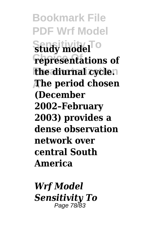**Bookmark File PDF Wrf Model Sensitivity To study model representations of the diurnal cycle. A The period chosen (December 2002–February 2003) provides a dense observation network over central South America**

*Wrf Model Sensitivity To* Page 78/83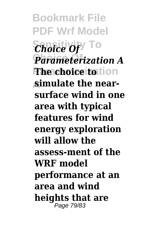**Bookmark File PDF Wrf Model** *Choice Of*<sup> $\top$ O</sup> **Parameterization A The choice to** tion **A simulate the nearsurface wind in one area with typical features for wind energy exploration will allow the assess-ment of the WRF model performance at an area and wind heights that are** Page 79/83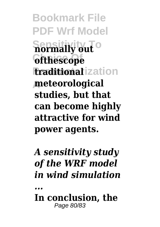**Bookmark File PDF Wrf Model Sensitivity To normally out Choice Of ofthescope traditional** ization **A meteorological studies, but that can become highly attractive for wind power agents.**

## *A sensitivity study of the WRF model in wind simulation*

*...*

**In conclusion, the** Page 80/83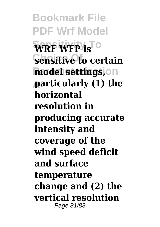**Bookmark File PDF Wrf Model**  $\widehat{\text{WRF WFP}}$  is **Sensitive to certain**  $model$  settings, on **A particularly (1) the horizontal resolution in producing accurate intensity and coverage of the wind speed deficit and surface temperature change and (2) the vertical resolution** Page 81/83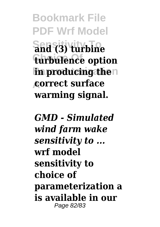**Bookmark File PDF Wrf Model Sensitivity To and (3) turbine Choice Of turbulence option in producing then A correct surface warming signal.**

*GMD - Simulated wind farm wake sensitivity to ...* **wrf model sensitivity to choice of parameterization a is available in our** Page 82/83